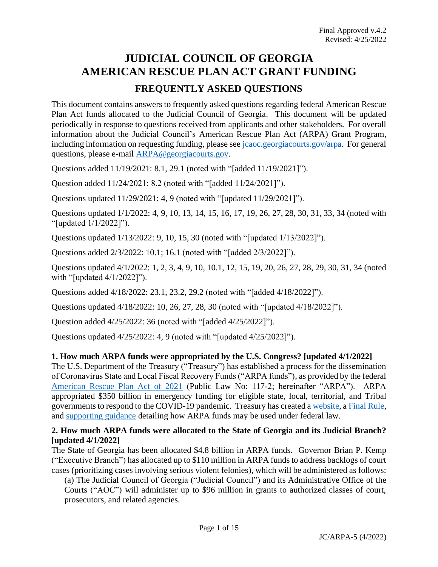# **JUDICIAL COUNCIL OF GEORGIA AMERICAN RESCUE PLAN ACT GRANT FUNDING FREQUENTLY ASKED QUESTIONS**

This document contains answers to frequently asked questions regarding federal American Rescue Plan Act funds allocated to the Judicial Council of Georgia. This document will be updated periodically in response to questions received from applicants and other stakeholders. For overall information about the Judicial Council's American Rescue Plan Act (ARPA) Grant Program, including information on requesting funding, please see *jcaoc.georgiacourts.gov/arpa*. For general questions, please e-mail [ARPA@georgiacourts.gov.](mailto:ARPA@georgiacourts.gov)

Questions added 11/19/2021: 8.1, 29.1 (noted with "[added 11/19/2021]").

Question added 11/24/2021: 8.2 (noted with "[added 11/24/2021]").

Questions updated 11/29/2021: 4, 9 (noted with "[updated 11/29/2021]").

Questions updated 1/1/2022: 4, 9, 10, 13, 14, 15, 16, 17, 19, 26, 27, 28, 30, 31, 33, 34 (noted with "[updated 1/1/2022]").

Questions updated 1/13/2022: 9, 10, 15, 30 (noted with "[updated 1/13/2022]").

Questions added 2/3/2022: 10.1; 16.1 (noted with "[added 2/3/2022]").

Questions updated 4/1/2022: 1, 2, 3, 4, 9, 10, 10.1, 12, 15, 19, 20, 26, 27, 28, 29, 30, 31, 34 (noted with "[updated 4/1/2022]").

Questions added 4/18/2022: 23.1, 23.2, 29.2 (noted with "[added 4/18/2022]").

Questions updated 4/18/2022: 10, 26, 27, 28, 30 (noted with "[updated 4/18/2022]").

Question added 4/25/2022: 36 (noted with "[added 4/25/2022]").

Questions updated 4/25/2022: 4, 9 (noted with "[updated 4/25/2022]").

## **1. How much ARPA funds were appropriated by the U.S. Congress? [updated 4/1/2022]**

The U.S. Department of the Treasury ("Treasury") has established a process for the dissemination of Coronavirus State and Local Fiscal Recovery Funds ("ARPA funds"), as provided by the federal [American Rescue Plan Act of 2021](https://www.congress.gov/117/bills/hr1319/BILLS-117hr1319enr.pdf) (Public Law No: 117-2; hereinafter "ARPA"). ARPA appropriated \$350 billion in emergency funding for eligible state, local, territorial, and Tribal governments to respond to the COVID-19 pandemic. Treasury has created a [website,](https://home.treasury.gov/policy-issues/coronavirus/assistance-for-state-local-and-tribal-governments/state-and-local-fiscal-recovery-funds/) a [Final Rule,](https://www.govinfo.gov/content/pkg/FR-2022-01-27/pdf/2022-00292.pdf) and [supporting guidance](https://home.treasury.gov/system/files/136/SLFRF-Compliance-and-Reporting-Guidance.pdf) detailing how ARPA funds may be used under federal law.

## **2. How much ARPA funds were allocated to the State of Georgia and its Judicial Branch? [updated 4/1/2022]**

The State of Georgia has been allocated \$4.8 billion in ARPA funds. Governor Brian P. Kemp ("Executive Branch") has allocated up to \$110 million in ARPA funds to address backlogs of court cases (prioritizing cases involving serious violent felonies), which will be administered as follows:

(a) The Judicial Council of Georgia ("Judicial Council") and its Administrative Office of the Courts ("AOC") will administer up to \$96 million in grants to authorized classes of court, prosecutors, and related agencies.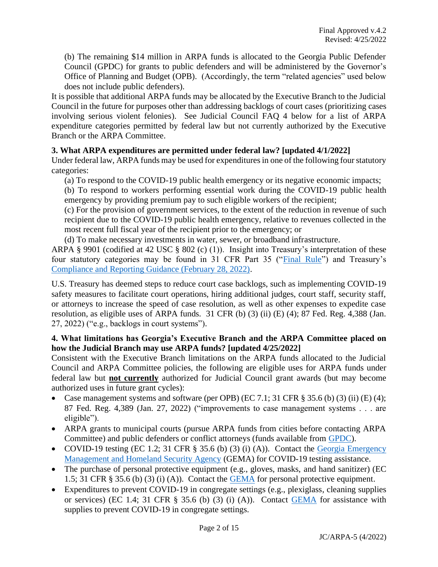(b) The remaining \$14 million in ARPA funds is allocated to the Georgia Public Defender Council (GPDC) for grants to public defenders and will be administered by the Governor's Office of Planning and Budget (OPB). (Accordingly, the term "related agencies" used below does not include public defenders).

It is possible that additional ARPA funds may be allocated by the Executive Branch to the Judicial Council in the future for purposes other than addressing backlogs of court cases (prioritizing cases involving serious violent felonies). See Judicial Council FAQ 4 below for a list of ARPA expenditure categories permitted by federal law but not currently authorized by the Executive Branch or the ARPA Committee.

## **3. What ARPA expenditures are permitted under federal law? [updated 4/1/2022]**

Under federal law, ARPA funds may be used for expenditures in one of the following four statutory categories:

(a) To respond to the COVID-19 public health emergency or its negative economic impacts;

(b) To respond to workers performing essential work during the COVID-19 public health emergency by providing premium pay to such eligible workers of the recipient;

(c) For the provision of government services, to the extent of the reduction in revenue of such recipient due to the COVID-19 public health emergency, relative to revenues collected in the most recent full fiscal year of the recipient prior to the emergency; or

(d) To make necessary investments in water, sewer, or broadband infrastructure.

ARPA § 9901 (codified at 42 USC § 802 (c) (1)). Insight into Treasury's interpretation of these four statutory categories may be found in 31 CFR Part 35 (["Final Rule"](https://www.govinfo.gov/content/pkg/FR-2022-01-27/pdf/2022-00292.pdf)) and Treasury's [Compliance and Reporting Guidance \(February 28, 2022\).](https://home.treasury.gov/system/files/136/SLFRF-Compliance-and-Reporting-Guidance.pdf)

U.S. Treasury has deemed steps to reduce court case backlogs, such as implementing COVID-19 safety measures to facilitate court operations, hiring additional judges, court staff, security staff, or attorneys to increase the speed of case resolution, as well as other expenses to expedite case resolution, as eligible uses of ARPA funds. 31 CFR (b) (3) (ii) (E) (4); 87 Fed. Reg. 4,388 (Jan. 27, 2022) ("e.g., backlogs in court systems").

## **4. What limitations has Georgia's Executive Branch and the ARPA Committee placed on how the Judicial Branch may use ARPA funds? [updated 4/25/2022]**

Consistent with the Executive Branch limitations on the ARPA funds allocated to the Judicial Council and ARPA Committee policies, the following are eligible uses for ARPA funds under federal law but **not currently** authorized for Judicial Council grant awards (but may become authorized uses in future grant cycles):

- Case management systems and software (per OPB) (EC 7.1; 31 CFR  $\S$  35.6 (b) (3) (ii) (E) (4); 87 Fed. Reg. 4,389 (Jan. 27, 2022) ("improvements to case management systems . . . are eligible").
- ARPA grants to municipal courts (pursue ARPA funds from cities before contacting ARPA Committee) and public defenders or conflict attorneys (funds available from [GPDC\)](http://www.gapubdef.org/).
- COVID-19 testing (EC 1.2; 31 CFR § 35.6 (b) (3) (i) (A)). Contact the Georgia Emergency [Management and Homeland Security Agency](https://gema.georgia.gov/) (GEMA) for COVID-19 testing assistance.
- The purchase of personal protective equipment (e.g., gloves, masks, and hand sanitizer) (EC 1.5; 31 CFR § 35.6 (b) (3) (i) (A)). Contact the [GEMA](https://gema.georgia.gov/) for personal protective equipment.
- Expenditures to prevent COVID-19 in congregate settings (e.g., plexiglass, cleaning supplies or services) (EC 1.4; 31 CFR  $\S$  35.6 (b) (3) (i) (A)). Contact [GEMA](https://gema.georgia.gov/) for assistance with supplies to prevent COVID-19 in congregate settings.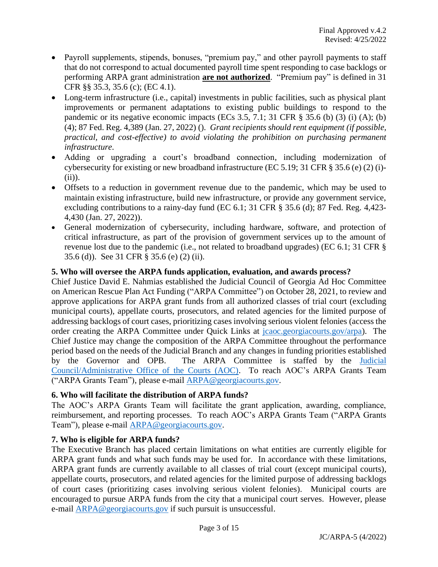- Payroll supplements, stipends, bonuses, "premium pay," and other payroll payments to staff that do not correspond to actual documented payroll time spent responding to case backlogs or performing ARPA grant administration **are not authorized**. "Premium pay" is defined in 31 CFR §§ 35.3, 35.6 (c); (EC 4.1).
- Long-term infrastructure (i.e., capital) investments in public facilities, such as physical plant improvements or permanent adaptations to existing public buildings to respond to the pandemic or its negative economic impacts (ECs 3.5, 7.1; 31 CFR § 35.6 (b) (3) (i) (A); (b) (4); 87 Fed. Reg. 4,389 (Jan. 27, 2022) (). *Grant recipients should rent equipment (if possible, practical, and cost-effective) to avoid violating the prohibition on purchasing permanent infrastructure.*
- Adding or upgrading a court's broadband connection, including modernization of cybersecurity for existing or new broadband infrastructure (EC 5.19; 31 CFR § 35.6 (e) (2) (i)- (ii)).
- Offsets to a reduction in government revenue due to the pandemic, which may be used to maintain existing infrastructure, build new infrastructure, or provide any government service, excluding contributions to a rainy-day fund (EC 6.1; 31 CFR § 35.6 (d); 87 Fed. Reg. 4,423- 4,430 (Jan. 27, 2022)).
- General modernization of cybersecurity, including hardware, software, and protection of critical infrastructure, as part of the provision of government services up to the amount of revenue lost due to the pandemic (i.e., not related to broadband upgrades) (EC 6.1; 31 CFR § 35.6 (d)). See 31 CFR § 35.6 (e) (2) (ii).

# **5. Who will oversee the ARPA funds application, evaluation, and awards process?**

Chief Justice David E. Nahmias established the Judicial Council of Georgia Ad Hoc Committee on American Rescue Plan Act Funding ("ARPA Committee") on October 28, 2021, to review and approve applications for ARPA grant funds from all authorized classes of trial court (excluding municipal courts), appellate courts, prosecutors, and related agencies for the limited purpose of addressing backlogs of court cases, prioritizing cases involving serious violent felonies (access the order creating the ARPA Committee under Quick Links at [jcaoc.georgiacourts.gov/arpa\)](https://jcaoc.georgiacourts.gov/arpa). The Chief Justice may change the composition of the ARPA Committee throughout the performance period based on the needs of the Judicial Branch and any changes in funding priorities established by the Governor and OPB. The ARPA Committee is staffed by the [Judicial](https://jcaoc.georgiacourts.gov/)  [Council/Administrative Office of the Courts \(AOC\).](https://jcaoc.georgiacourts.gov/) To reach AOC's ARPA Grants Team ("ARPA Grants Team"), please e-mail [ARPA@georgiacourts.gov.](mailto:ARPA@georgiacourts.gov)

## **6. Who will facilitate the distribution of ARPA funds?**

The AOC's ARPA Grants Team will facilitate the grant application, awarding, compliance, reimbursement, and reporting processes. To reach AOC's ARPA Grants Team ("ARPA Grants Team"), please e-mail [ARPA@georgiacourts.gov.](mailto:ARPA@georgiacourts.gov)

# **7. Who is eligible for ARPA funds?**

The Executive Branch has placed certain limitations on what entities are currently eligible for ARPA grant funds and what such funds may be used for. In accordance with these limitations, ARPA grant funds are currently available to all classes of trial court (except municipal courts), appellate courts, prosecutors, and related agencies for the limited purpose of addressing backlogs of court cases (prioritizing cases involving serious violent felonies). Municipal courts are encouraged to pursue ARPA funds from the city that a municipal court serves. However, please e-mail [ARPA@georgiacourts.gov](mailto:ARPA@georgiacourts.gov) if such pursuit is unsuccessful.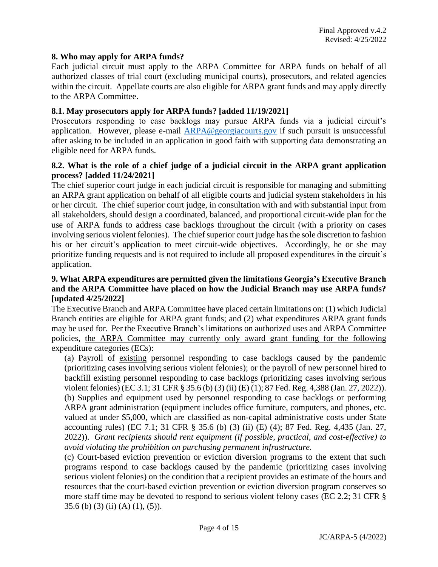#### **8. Who may apply for ARPA funds?**

Each judicial circuit must apply to the ARPA Committee for ARPA funds on behalf of all authorized classes of trial court (excluding municipal courts), prosecutors, and related agencies within the circuit. Appellate courts are also eligible for ARPA grant funds and may apply directly to the ARPA Committee.

#### **8.1. May prosecutors apply for ARPA funds? [added 11/19/2021]**

Prosecutors responding to case backlogs may pursue ARPA funds via a judicial circuit's application. However, please e-mail [ARPA@georgiacourts.gov](mailto:ARPA@georgiacourts.gov) if such pursuit is unsuccessful after asking to be included in an application in good faith with supporting data demonstrating an eligible need for ARPA funds.

#### **8.2. What is the role of a chief judge of a judicial circuit in the ARPA grant application process? [added 11/24/2021]**

The chief superior court judge in each judicial circuit is responsible for managing and submitting an ARPA grant application on behalf of all eligible courts and judicial system stakeholders in his or her circuit. The chief superior court judge, in consultation with and with substantial input from all stakeholders, should design a coordinated, balanced, and proportional circuit-wide plan for the use of ARPA funds to address case backlogs throughout the circuit (with a priority on cases involving serious violent felonies). The chief superior court judge hasthe sole discretion to fashion his or her circuit's application to meet circuit-wide objectives. Accordingly, he or she may prioritize funding requests and is not required to include all proposed expenditures in the circuit's application.

## **9. What ARPA expenditures are permitted given the limitations Georgia's Executive Branch and the ARPA Committee have placed on how the Judicial Branch may use ARPA funds? [updated 4/25/2022]**

The Executive Branch and ARPA Committee have placed certain limitations on: (1) which Judicial Branch entities are eligible for ARPA grant funds; and (2) what expenditures ARPA grant funds may be used for. Per the Executive Branch's limitations on authorized uses and ARPA Committee policies, the ARPA Committee may currently only award grant funding for the following expenditure categories (ECs):

(a) Payroll of existing personnel responding to case backlogs caused by the pandemic (prioritizing cases involving serious violent felonies); or the payroll of new personnel hired to backfill existing personnel responding to case backlogs (prioritizing cases involving serious violent felonies) (EC 3.1; 31 CFR § 35.6 (b) (3) (ii) (E) (1); 87 Fed. Reg. 4,388 (Jan. 27, 2022)). (b) Supplies and equipment used by personnel responding to case backlogs or performing ARPA grant administration (equipment includes office furniture, computers, and phones, etc. valued at under \$5,000, which are classified as non-capital administrative costs under State accounting rules) (EC 7.1; 31 CFR § 35.6 (b) (3) (ii) (E) (4); 87 Fed. Reg. 4,435 (Jan. 27, 2022)). *Grant recipients should rent equipment (if possible, practical, and cost-effective) to avoid violating the prohibition on purchasing permanent infrastructure.*

(c) Court-based eviction prevention or eviction diversion programs to the extent that such programs respond to case backlogs caused by the pandemic (prioritizing cases involving serious violent felonies) on the condition that a recipient provides an estimate of the hours and resources that the court-based eviction prevention or eviction diversion program conserves so more staff time may be devoted to respond to serious violent felony cases (EC 2.2; 31 CFR § 35.6 (b) (3) (ii) (A) (1), (5)).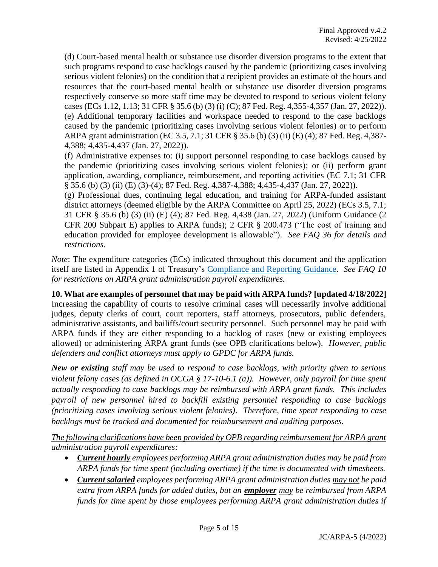(d) Court-based mental health or substance use disorder diversion programs to the extent that such programs respond to case backlogs caused by the pandemic (prioritizing cases involving serious violent felonies) on the condition that a recipient provides an estimate of the hours and resources that the court-based mental health or substance use disorder diversion programs respectively conserve so more staff time may be devoted to respond to serious violent felony cases (ECs 1.12, 1.13; 31 CFR § 35.6 (b) (3) (i) (C); 87 Fed. Reg. 4,355-4,357 (Jan. 27, 2022)). (e) Additional temporary facilities and workspace needed to respond to the case backlogs caused by the pandemic (prioritizing cases involving serious violent felonies) or to perform ARPA grant administration (EC 3.5, 7.1; 31 CFR § 35.6 (b) (3) (ii) (E) (4); 87 Fed. Reg. 4,387- 4,388; 4,435-4,437 (Jan. 27, 2022)).

(f) Administrative expenses to: (i) support personnel responding to case backlogs caused by the pandemic (prioritizing cases involving serious violent felonies); or (ii) perform grant application, awarding, compliance, reimbursement, and reporting activities (EC 7.1; 31 CFR § 35.6 (b) (3) (ii) (E) (3)-(4); 87 Fed. Reg. 4,387-4,388; 4,435-4,437 (Jan. 27, 2022)).

(g) Professional dues, continuing legal education, and training for ARPA-funded assistant district attorneys (deemed eligible by the ARPA Committee on April 25, 2022) (ECs 3.5, 7.1; 31 CFR § 35.6 (b) (3) (ii) (E) (4); 87 Fed. Reg. 4,438 (Jan. 27, 2022) (Uniform Guidance (2 CFR 200 Subpart E) applies to ARPA funds); 2 CFR § 200.473 ("The cost of training and education provided for employee development is allowable"). *See FAQ 36 for details and restrictions.*

*Note*: The expenditure categories (ECs) indicated throughout this document and the application itself are listed in Appendix 1 of Treasury's [Compliance and Reporting Guidance.](https://home.treasury.gov/system/files/136/SLFRF-Compliance-and-Reporting-Guidance.pdf) *See FAQ 10 for restrictions on ARPA grant administration payroll expenditures.*

**10. What are examples of personnel that may be paid with ARPA funds? [updated 4/18/2022]** Increasing the capability of courts to resolve criminal cases will necessarily involve additional judges, deputy clerks of court, court reporters, staff attorneys, prosecutors, public defenders, administrative assistants, and bailiffs/court security personnel. Such personnel may be paid with ARPA funds if they are either responding to a backlog of cases (new or existing employees allowed) or administering ARPA grant funds (see OPB clarifications below). *However, public defenders and conflict attorneys must apply to GPDC for ARPA funds.*

*New or existing staff may be used to respond to case backlogs, with priority given to serious violent felony cases (as defined in OCGA § 17-10-6.1 (a)). However, only payroll for time spent actually responding to case backlogs may be reimbursed with ARPA grant funds. This includes payroll of new personnel hired to backfill existing personnel responding to case backlogs (prioritizing cases involving serious violent felonies). Therefore, time spent responding to case backlogs must be tracked and documented for reimbursement and auditing purposes.*

*The following clarifications have been provided by OPB regarding reimbursement for ARPA grant administration payroll expenditures:*

- *Current hourly employees performing ARPA grant administration duties may be paid from ARPA funds for time spent (including overtime) if the time is documented with timesheets.*
- *Current salaried employees performing ARPA grant administration duties may not be paid extra from ARPA funds for added duties, but an employer may be reimbursed from ARPA funds for time spent by those employees performing ARPA grant administration duties if*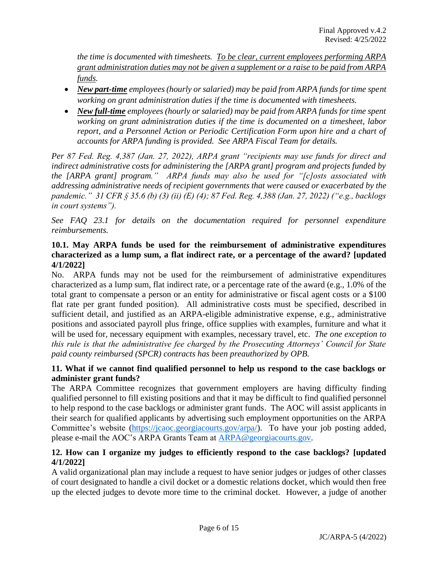*the time is documented with timesheets. To be clear, current employees performing ARPA grant administration duties may not be given a supplement or a raise to be paid from ARPA funds.*

- *New part-time employees (hourly or salaried) may be paid from ARPA funds for time spent working on grant administration duties if the time is documented with timesheets.*
- *New full-time employees (hourly or salaried) may be paid from ARPA funds for time spent working on grant administration duties if the time is documented on a timesheet, labor report, and a Personnel Action or Periodic Certification Form upon hire and a chart of accounts for ARPA funding is provided. See ARPA Fiscal Team for details.*

*Per 87 Fed. Reg. 4,387 (Jan. 27, 2022), ARPA grant "recipients may use funds for direct and indirect administrative costs for administering the [ARPA grant] program and projects funded by the [ARPA grant] program." ARPA funds may also be used for "[c]osts associated with addressing administrative needs of recipient governments that were caused or exacerbated by the pandemic." 31 CFR § 35.6 (b) (3) (ii) (E) (4); 87 Fed. Reg. 4,388 (Jan. 27, 2022) ("e.g., backlogs in court systems").*

*See FAQ 23.1 for details on the documentation required for personnel expenditure reimbursements.*

## **10.1. May ARPA funds be used for the reimbursement of administrative expenditures characterized as a lump sum, a flat indirect rate, or a percentage of the award? [updated 4/1/2022]**

No. ARPA funds may not be used for the reimbursement of administrative expenditures characterized as a lump sum, flat indirect rate, or a percentage rate of the award (e.g., 1.0% of the total grant to compensate a person or an entity for administrative or fiscal agent costs or a \$100 flat rate per grant funded position). All administrative costs must be specified, described in sufficient detail, and justified as an ARPA-eligible administrative expense, e.g., administrative positions and associated payroll plus fringe, office supplies with examples, furniture and what it will be used for, necessary equipment with examples, necessary travel, etc. *The one exception to this rule is that the administrative fee charged by the Prosecuting Attorneys' Council for State paid county reimbursed (SPCR) contracts has been preauthorized by OPB.*

# **11. What if we cannot find qualified personnel to help us respond to the case backlogs or administer grant funds?**

The ARPA Committee recognizes that government employers are having difficulty finding qualified personnel to fill existing positions and that it may be difficult to find qualified personnel to help respond to the case backlogs or administer grant funds. The AOC will assist applicants in their search for qualified applicants by advertising such employment opportunities on the ARPA Committee's website [\(https://jcaoc.georgiacourts.gov/arpa/\)](https://jcaoc.georgiacourts.gov/arpa/). To have your job posting added, please e-mail the AOC's ARPA Grants Team at [ARPA@georgiacourts.gov.](mailto:ARPA@georgiacourts.gov)

# **12. How can I organize my judges to efficiently respond to the case backlogs? [updated 4/1/2022]**

A valid organizational plan may include a request to have senior judges or judges of other classes of court designated to handle a civil docket or a domestic relations docket, which would then free up the elected judges to devote more time to the criminal docket. However, a judge of another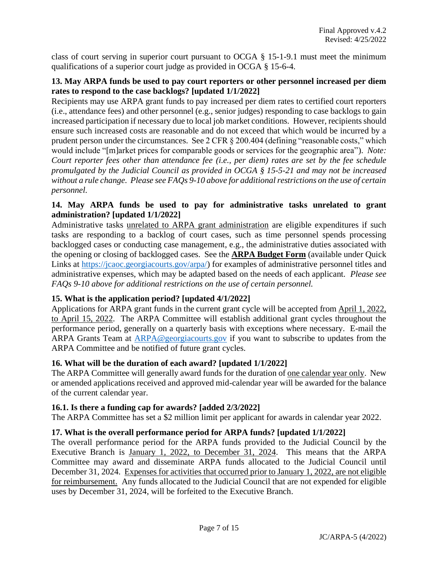class of court serving in superior court pursuant to OCGA § 15-1-9.1 must meet the minimum qualifications of a superior court judge as provided in OCGA § 15-6-4.

## **13. May ARPA funds be used to pay court reporters or other personnel increased per diem rates to respond to the case backlogs? [updated 1/1/2022]**

Recipients may use ARPA grant funds to pay increased per diem rates to certified court reporters (i.e., attendance fees) and other personnel (e.g., senior judges) responding to case backlogs to gain increased participation if necessary due to local job market conditions. However, recipients should ensure such increased costs are reasonable and do not exceed that which would be incurred by a prudent person under the circumstances. See 2 CFR § 200.404 (defining "reasonable costs," which would include "[m]arket prices for comparable goods or services for the geographic area"). *Note: Court reporter fees other than attendance fee (i.e., per diem) rates are set by the fee schedule promulgated by the Judicial Council as provided in OCGA § 15-5-21 and may not be increased without a rule change. Please see FAQs 9-10 above for additional restrictions on the use of certain personnel.*

## **14. May ARPA funds be used to pay for administrative tasks unrelated to grant administration? [updated 1/1/2022]**

Administrative tasks unrelated to ARPA grant administration are eligible expenditures if such tasks are responding to a backlog of court cases, such as time personnel spends processing backlogged cases or conducting case management, e.g., the administrative duties associated with the opening or closing of backlogged cases. See the **ARPA Budget Form** (available under Quick Links at [https://jcaoc.georgiacourts.gov/arpa/\)](https://jcaoc.georgiacourts.gov/arpa/) for examples of administrative personnel titles and administrative expenses, which may be adapted based on the needs of each applicant. *Please see FAQs 9-10 above for additional restrictions on the use of certain personnel.*

## **15. What is the application period? [updated 4/1/2022]**

Applications for ARPA grant funds in the current grant cycle will be accepted from April 1, 2022, to April 15, 2022. The ARPA Committee will establish additional grant cycles throughout the performance period, generally on a quarterly basis with exceptions where necessary. E-mail the ARPA Grants Team at [ARPA@georgiacourts.gov](mailto:ARPA@georgiacourts.gov) if you want to subscribe to updates from the ARPA Committee and be notified of future grant cycles.

## **16. What will be the duration of each award? [updated 1/1/2022]**

The ARPA Committee will generally award funds for the duration of <u>one calendar year only</u>. New or amended applications received and approved mid-calendar year will be awarded for the balance of the current calendar year.

## **16.1. Is there a funding cap for awards? [added 2/3/2022]**

The ARPA Committee has set a \$2 million limit per applicant for awards in calendar year 2022.

## **17. What is the overall performance period for ARPA funds? [updated 1/1/2022]**

The overall performance period for the ARPA funds provided to the Judicial Council by the Executive Branch is January 1, 2022, to December 31, 2024. This means that the ARPA Committee may award and disseminate ARPA funds allocated to the Judicial Council until December 31, 2024. Expenses for activities that occurred prior to January 1, 2022, are not eligible for reimbursement. Any funds allocated to the Judicial Council that are not expended for eligible uses by December 31, 2024, will be forfeited to the Executive Branch.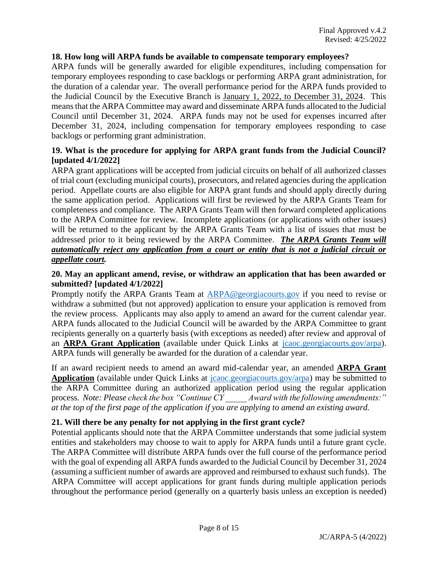## **18. How long will ARPA funds be available to compensate temporary employees?**

ARPA funds will be generally awarded for eligible expenditures, including compensation for temporary employees responding to case backlogs or performing ARPA grant administration, for the duration of a calendar year. The overall performance period for the ARPA funds provided to the Judicial Council by the Executive Branch is January 1, 2022, to December 31, 2024. This means that the ARPA Committee may award and disseminate ARPA funds allocated to the Judicial Council until December 31, 2024. ARPA funds may not be used for expenses incurred after December 31, 2024, including compensation for temporary employees responding to case backlogs or performing grant administration.

## **19. What is the procedure for applying for ARPA grant funds from the Judicial Council? [updated 4/1/2022]**

ARPA grant applications will be accepted from judicial circuits on behalf of all authorized classes of trial court (excluding municipal courts), prosecutors, and related agencies during the application period. Appellate courts are also eligible for ARPA grant funds and should apply directly during the same application period. Applications will first be reviewed by the ARPA Grants Team for completeness and compliance. The ARPA Grants Team will then forward completed applications to the ARPA Committee for review. Incomplete applications (or applications with other issues) will be returned to the applicant by the ARPA Grants Team with a list of issues that must be addressed prior to it being reviewed by the ARPA Committee. *The ARPA Grants Team will automatically reject any application from a court or entity that is not a judicial circuit or appellate court.*

## **20. May an applicant amend, revise, or withdraw an application that has been awarded or submitted? [updated 4/1/2022]**

Promptly notify the ARPA Grants Team at [ARPA@georgiacourts.gov](mailto:ARPA@georgiacourts.gov) if you need to revise or withdraw a submitted (but not approved) application to ensure your application is removed from the review process. Applicants may also apply to amend an award for the current calendar year. ARPA funds allocated to the Judicial Council will be awarded by the ARPA Committee to grant recipients generally on a quarterly basis (with exceptions as needed) after review and approval of an **ARPA Grant Application** (available under Quick Links at [jcaoc.georgiacourts.gov/arpa\)](https://jcaoc.georgiacourts.gov/arpa). ARPA funds will generally be awarded for the duration of a calendar year.

If an award recipient needs to amend an award mid-calendar year, an amended **ARPA Grant Application** (available under Quick Links at [jcaoc.georgiacourts.gov/arpa\)](https://jcaoc.georgiacourts.gov/arpa) may be submitted to the ARPA Committee during an authorized application period using the regular application process. *Note: Please check the box "Continue CY \_\_\_\_\_ Award with the following amendments:" at the top of the first page of the application if you are applying to amend an existing award.*

## **21. Will there be any penalty for not applying in the first grant cycle?**

Potential applicants should note that the ARPA Committee understands that some judicial system entities and stakeholders may choose to wait to apply for ARPA funds until a future grant cycle. The ARPA Committee will distribute ARPA funds over the full course of the performance period with the goal of expending all ARPA funds awarded to the Judicial Council by December 31, 2024 (assuming a sufficient number of awards are approved and reimbursed to exhaust such funds). The ARPA Committee will accept applications for grant funds during multiple application periods throughout the performance period (generally on a quarterly basis unless an exception is needed)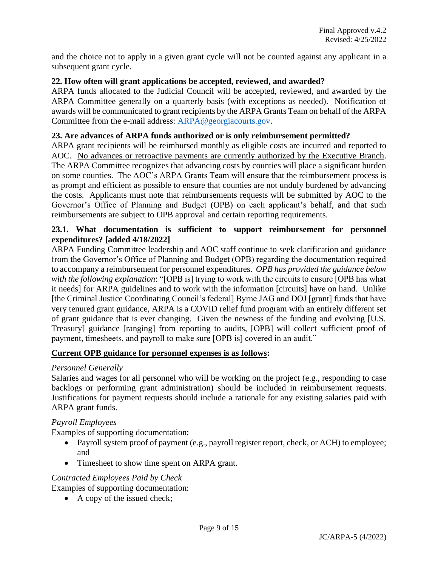and the choice not to apply in a given grant cycle will not be counted against any applicant in a subsequent grant cycle.

## **22. How often will grant applications be accepted, reviewed, and awarded?**

ARPA funds allocated to the Judicial Council will be accepted, reviewed, and awarded by the ARPA Committee generally on a quarterly basis (with exceptions as needed). Notification of awards will be communicated to grant recipients by the ARPA Grants Team on behalf of the ARPA Committee from the e-mail address: [ARPA@georgiacourts.gov.](mailto:ARPA@georgiacourts.gov)

#### **23. Are advances of ARPA funds authorized or is only reimbursement permitted?**

ARPA grant recipients will be reimbursed monthly as eligible costs are incurred and reported to AOC. No advances or retroactive payments are currently authorized by the Executive Branch. The ARPA Committee recognizes that advancing costs by counties will place a significant burden on some counties. The AOC's ARPA Grants Team will ensure that the reimbursement process is as prompt and efficient as possible to ensure that counties are not unduly burdened by advancing the costs. Applicants must note that reimbursements requests will be submitted by AOC to the Governor's Office of Planning and Budget (OPB) on each applicant's behalf, and that such reimbursements are subject to OPB approval and certain reporting requirements.

## **23.1. What documentation is sufficient to support reimbursement for personnel expenditures? [added 4/18/2022]**

ARPA Funding Committee leadership and AOC staff continue to seek clarification and guidance from the Governor's Office of Planning and Budget (OPB) regarding the documentation required to accompany a reimbursement for personnel expenditures. *OPB has provided the guidance below with the following explanation*: "[OPB is] trying to work with the circuits to ensure [OPB has what it needs] for ARPA guidelines and to work with the information [circuits] have on hand. Unlike [the Criminal Justice Coordinating Council's federal] Byrne JAG and DOJ [grant] funds that have very tenured grant guidance, ARPA is a COVID relief fund program with an entirely different set of grant guidance that is ever changing. Given the newness of the funding and evolving [U.S. Treasury] guidance [ranging] from reporting to audits, [OPB] will collect sufficient proof of payment, timesheets, and payroll to make sure [OPB is] covered in an audit."

#### **Current OPB guidance for personnel expenses is as follows:**

#### *Personnel Generally*

Salaries and wages for all personnel who will be working on the project (e.g., responding to case backlogs or performing grant administration) should be included in reimbursement requests. Justifications for payment requests should include a rationale for any existing salaries paid with ARPA grant funds.

#### *Payroll Employees*

Examples of supporting documentation:

- Payroll system proof of payment (e.g., payroll register report, check, or ACH) to employee; and
- Timesheet to show time spent on ARPA grant.

#### *Contracted Employees Paid by Check*

Examples of supporting documentation:

• A copy of the issued check;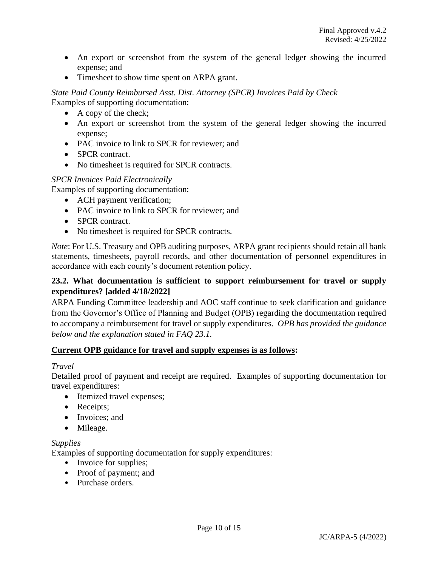- An export or screenshot from the system of the general ledger showing the incurred expense; and
- Timesheet to show time spent on ARPA grant.

*State Paid County Reimbursed Asst. Dist. Attorney (SPCR) Invoices Paid by Check* Examples of supporting documentation:

- A copy of the check;
- An export or screenshot from the system of the general ledger showing the incurred expense;
- PAC invoice to link to SPCR for reviewer; and
- SPCR contract.
- No timesheet is required for SPCR contracts.

## *SPCR Invoices Paid Electronically*

Examples of supporting documentation:

- ACH payment verification;
- PAC invoice to link to SPCR for reviewer; and
- **SPCR** contract.
- No timesheet is required for SPCR contracts.

*Note*: For U.S. Treasury and OPB auditing purposes, ARPA grant recipients should retain all bank statements, timesheets, payroll records, and other documentation of personnel expenditures in accordance with each county's document retention policy.

## **23.2. What documentation is sufficient to support reimbursement for travel or supply expenditures? [added 4/18/2022]**

ARPA Funding Committee leadership and AOC staff continue to seek clarification and guidance from the Governor's Office of Planning and Budget (OPB) regarding the documentation required to accompany a reimbursement for travel or supply expenditures. *OPB has provided the guidance below and the explanation stated in FAQ 23.1.*

## **Current OPB guidance for travel and supply expenses is as follows:**

#### *Travel*

Detailed proof of payment and receipt are required. Examples of supporting documentation for travel expenditures:

- Itemized travel expenses;
- Receipts;
- Invoices; and
- Mileage.

#### *Supplies*

Examples of supporting documentation for supply expenditures:

- Invoice for supplies;
- Proof of payment; and
- Purchase orders.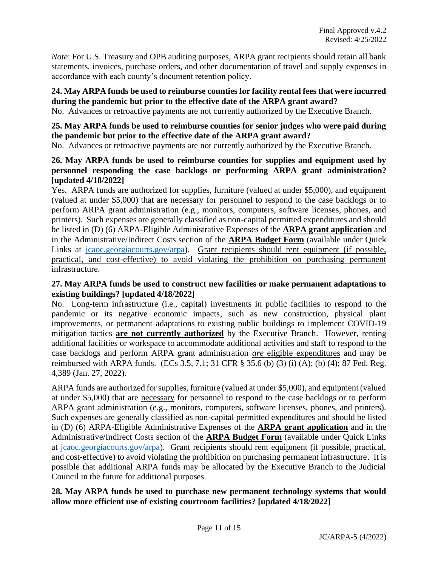*Note*: For U.S. Treasury and OPB auditing purposes, ARPA grant recipients should retain all bank statements, invoices, purchase orders, and other documentation of travel and supply expenses in accordance with each county's document retention policy.

## **24. May ARPA funds be used to reimburse counties for facility rental fees that were incurred during the pandemic but prior to the effective date of the ARPA grant award?**

No. Advances or retroactive payments are not currently authorized by the Executive Branch.

## **25. May ARPA funds be used to reimburse counties for senior judges who were paid during the pandemic but prior to the effective date of the ARPA grant award?**

No. Advances or retroactive payments are not currently authorized by the Executive Branch.

## **26. May ARPA funds be used to reimburse counties for supplies and equipment used by personnel responding the case backlogs or performing ARPA grant administration? [updated 4/18/2022]**

Yes. ARPA funds are authorized for supplies, furniture (valued at under \$5,000), and equipment (valued at under \$5,000) that are necessary for personnel to respond to the case backlogs or to perform ARPA grant administration (e.g., monitors, computers, software licenses, phones, and printers). Such expenses are generally classified as non-capital permitted expenditures and should be listed in (D) (6) ARPA-Eligible Administrative Expenses of the **ARPA grant application** and in the Administrative/Indirect Costs section of the **ARPA Budget Form** (available under Quick Links at [jcaoc.georgiacourts.gov/arpa\)](https://jcaoc.georgiacourts.gov/arpa). Grant recipients should rent equipment (if possible, practical, and cost-effective) to avoid violating the prohibition on purchasing permanent infrastructure.

## **27. May ARPA funds be used to construct new facilities or make permanent adaptations to existing buildings? [updated 4/18/2022]**

No. Long-term infrastructure (i.e., capital) investments in public facilities to respond to the pandemic or its negative economic impacts, such as new construction, physical plant improvements, or permanent adaptations to existing public buildings to implement COVID-19 mitigation tactics **are not currently authorized** by the Executive Branch. However, renting additional facilities or workspace to accommodate additional activities and staff to respond to the case backlogs and perform ARPA grant administration *are* eligible expenditures and may be reimbursed with ARPA funds. (ECs 3.5, 7.1; 31 CFR § 35.6 (b) (3) (i) (A); (b) (4); 87 Fed. Reg. 4,389 (Jan. 27, 2022).

ARPA funds are authorized for supplies, furniture (valued at under \$5,000), and equipment (valued at under \$5,000) that are necessary for personnel to respond to the case backlogs or to perform ARPA grant administration (e.g., monitors, computers, software licenses, phones, and printers). Such expenses are generally classified as non-capital permitted expenditures and should be listed in (D) (6) ARPA-Eligible Administrative Expenses of the **ARPA grant application** and in the Administrative/Indirect Costs section of the **ARPA Budget Form** (available under Quick Links at [jcaoc.georgiacourts.gov/arpa\)](https://jcaoc.georgiacourts.gov/arpa). Grant recipients should rent equipment (if possible, practical, and cost-effective) to avoid violating the prohibition on purchasing permanent infrastructure. It is possible that additional ARPA funds may be allocated by the Executive Branch to the Judicial Council in the future for additional purposes.

## **28. May ARPA funds be used to purchase new permanent technology systems that would allow more efficient use of existing courtroom facilities? [updated 4/18/2022]**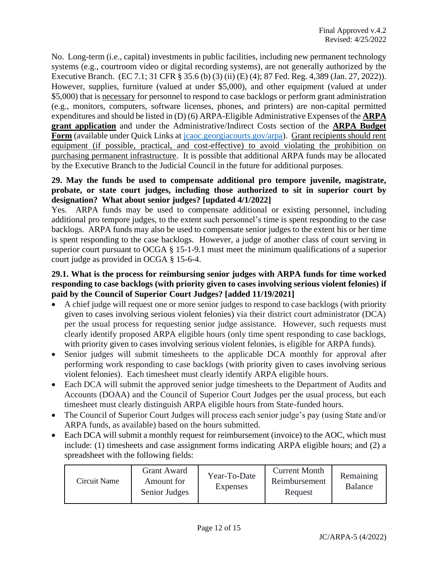No. Long-term (i.e., capital) investments in public facilities, including new permanent technology systems (e.g., courtroom video or digital recording systems), are not generally authorized by the Executive Branch. (EC 7.1; 31 CFR § 35.6 (b) (3) (ii) (E) (4); 87 Fed. Reg. 4,389 (Jan. 27, 2022)). However, supplies, furniture (valued at under \$5,000), and other equipment (valued at under \$5,000) that is necessary for personnel to respond to case backlogs or perform grant administration (e.g., monitors, computers, software licenses, phones, and printers) are non-capital permitted expenditures and should be listed in (D) (6) ARPA-Eligible Administrative Expenses of the **ARPA grant application** and under the Administrative/Indirect Costs section of the **ARPA Budget**  Form (available under Quick Links at *jcaoc.georgiacourts.gov/arpa*). Grant recipients should rent equipment (if possible, practical, and cost-effective) to avoid violating the prohibition on purchasing permanent infrastructure. It is possible that additional ARPA funds may be allocated by the Executive Branch to the Judicial Council in the future for additional purposes.

## **29. May the funds be used to compensate additional pro tempore juvenile, magistrate, probate, or state court judges, including those authorized to sit in superior court by designation? What about senior judges? [updated 4/1/2022]**

Yes. ARPA funds may be used to compensate additional or existing personnel, including additional pro tempore judges, to the extent such personnel's time is spent responding to the case backlogs. ARPA funds may also be used to compensate senior judges to the extent his or her time is spent responding to the case backlogs. However, a judge of another class of court serving in superior court pursuant to OCGA § 15-1-9.1 must meet the minimum qualifications of a superior court judge as provided in OCGA § 15-6-4.

# **29.1. What is the process for reimbursing senior judges with ARPA funds for time worked responding to case backlogs (with priority given to cases involving serious violent felonies) if paid by the Council of Superior Court Judges? [added 11/19/2021]**

- A chief judge will request one or more senior judges to respond to case backlogs (with priority given to cases involving serious violent felonies) via their district court administrator (DCA) per the usual process for requesting senior judge assistance. However, such requests must clearly identify proposed ARPA eligible hours (only time spent responding to case backlogs, with priority given to cases involving serious violent felonies, is eligible for ARPA funds).
- Senior judges will submit timesheets to the applicable DCA monthly for approval after performing work responding to case backlogs (with priority given to cases involving serious violent felonies). Each timesheet must clearly identify ARPA eligible hours.
- Each DCA will submit the approved senior judge timesheets to the Department of Audits and Accounts (DOAA) and the Council of Superior Court Judges per the usual process, but each timesheet must clearly distinguish ARPA eligible hours from State-funded hours.
- The Council of Superior Court Judges will process each senior judge's pay (using State and/or ARPA funds, as available) based on the hours submitted.
- Each DCA will submit a monthly request for reimbursement (invoice) to the AOC, which must include: (1) timesheets and case assignment forms indicating ARPA eligible hours; and (2) a spreadsheet with the following fields:

| Circuit Name | Grant Award<br>Amount for<br>Senior Judges | Year-To-Date<br><b>Expenses</b> | <b>Current Month</b><br>Reimbursement<br>Request | Remaining<br><b>Balance</b> |
|--------------|--------------------------------------------|---------------------------------|--------------------------------------------------|-----------------------------|
|--------------|--------------------------------------------|---------------------------------|--------------------------------------------------|-----------------------------|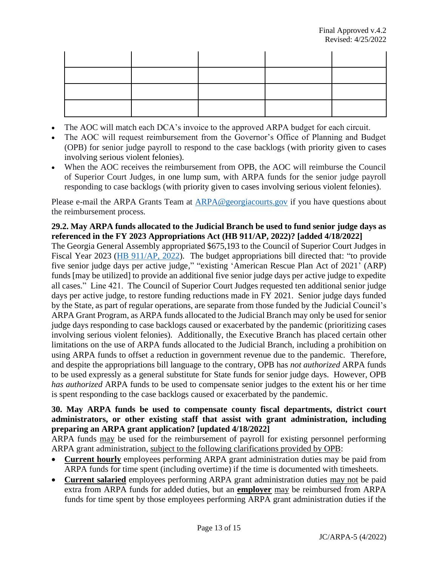- The AOC will match each DCA's invoice to the approved ARPA budget for each circuit.
- The AOC will request reimbursement from the Governor's Office of Planning and Budget (OPB) for senior judge payroll to respond to the case backlogs (with priority given to cases involving serious violent felonies).
- When the AOC receives the reimbursement from OPB, the AOC will reimburse the Council of Superior Court Judges, in one lump sum, with ARPA funds for the senior judge payroll responding to case backlogs (with priority given to cases involving serious violent felonies).

Please e-mail the ARPA Grants Team at [ARPA@georgiacourts.gov](mailto:ARPA@georgiacourts.gov) if you have questions about the reimbursement process.

# **29.2. May ARPA funds allocated to the Judicial Branch be used to fund senior judge days as referenced in the FY 2023 Appropriations Act (HB 911/AP, 2022)? [added 4/18/2022]**

The Georgia General Assembly appropriated \$675,193 to the Council of Superior Court Judges in Fiscal Year 2023 [\(HB 911/AP, 2022\)](https://www.legis.ga.gov/api/document/docs/default-source/house-budget-and-research-office-document-library/2023_fiscal_year/fy_2023_bill_conf_cmte_hb_911.pdf?sfvrsn=e05d7fb_2). The budget appropriations bill directed that: "to provide five senior judge days per active judge," "existing 'American Rescue Plan Act of 2021' (ARP) funds [may be utilized] to provide an additional five senior judge days per active judge to expedite all cases." Line 421. The Council of Superior Court Judges requested ten additional senior judge days per active judge, to restore funding reductions made in FY 2021. Senior judge days funded by the State, as part of regular operations, are separate from those funded by the Judicial Council's ARPA Grant Program, as ARPA funds allocated to the Judicial Branch may only be used for senior judge days responding to case backlogs caused or exacerbated by the pandemic (prioritizing cases involving serious violent felonies). Additionally, the Executive Branch has placed certain other limitations on the use of ARPA funds allocated to the Judicial Branch, including a prohibition on using ARPA funds to offset a reduction in government revenue due to the pandemic. Therefore, and despite the appropriations bill language to the contrary, OPB has *not authorized* ARPA funds to be used expressly as a general substitute for State funds for senior judge days. However, OPB *has authorized* ARPA funds to be used to compensate senior judges to the extent his or her time is spent responding to the case backlogs caused or exacerbated by the pandemic.

## **30. May ARPA funds be used to compensate county fiscal departments, district court administrators, or other existing staff that assist with grant administration, including preparing an ARPA grant application? [updated 4/18/2022]**

ARPA funds may be used for the reimbursement of payroll for existing personnel performing ARPA grant administration, subject to the following clarifications provided by OPB:

- **Current hourly** employees performing ARPA grant administration duties may be paid from ARPA funds for time spent (including overtime) if the time is documented with timesheets.
- **Current salaried** employees performing ARPA grant administration duties may not be paid extra from ARPA funds for added duties, but an **employer** may be reimbursed from ARPA funds for time spent by those employees performing ARPA grant administration duties if the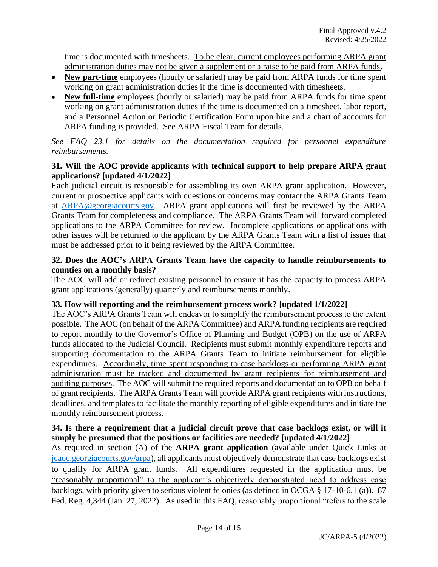time is documented with timesheets. To be clear, current employees performing ARPA grant administration duties may not be given a supplement or a raise to be paid from ARPA funds.

- **New part-time** employees (hourly or salaried) may be paid from ARPA funds for time spent working on grant administration duties if the time is documented with timesheets.
- **New full-time** employees (hourly or salaried) may be paid from ARPA funds for time spent working on grant administration duties if the time is documented on a timesheet, labor report, and a Personnel Action or Periodic Certification Form upon hire and a chart of accounts for ARPA funding is provided. See ARPA Fiscal Team for details.

*See FAQ 23.1 for details on the documentation required for personnel expenditure reimbursements.*

# **31. Will the AOC provide applicants with technical support to help prepare ARPA grant applications? [updated 4/1/2022]**

Each judicial circuit is responsible for assembling its own ARPA grant application. However, current or prospective applicants with questions or concerns may contact the ARPA Grants Team at [ARPA@georgiacourts.gov.](mailto:ARPA@georgiacourts.gov) ARPA grant applications will first be reviewed by the ARPA Grants Team for completeness and compliance. The ARPA Grants Team will forward completed applications to the ARPA Committee for review. Incomplete applications or applications with other issues will be returned to the applicant by the ARPA Grants Team with a list of issues that must be addressed prior to it being reviewed by the ARPA Committee.

## **32. Does the AOC's ARPA Grants Team have the capacity to handle reimbursements to counties on a monthly basis?**

The AOC will add or redirect existing personnel to ensure it has the capacity to process ARPA grant applications (generally) quarterly and reimbursements monthly.

## **33. How will reporting and the reimbursement process work? [updated 1/1/2022]**

The AOC's ARPA Grants Team will endeavor to simplify the reimbursement process to the extent possible. The AOC (on behalf of the ARPA Committee) and ARPA funding recipients are required to report monthly to the Governor's Office of Planning and Budget (OPB) on the use of ARPA funds allocated to the Judicial Council. Recipients must submit monthly expenditure reports and supporting documentation to the ARPA Grants Team to initiate reimbursement for eligible expenditures. Accordingly, time spent responding to case backlogs or performing ARPA grant administration must be tracked and documented by grant recipients for reimbursement and auditing purposes. The AOC will submit the required reports and documentation to OPB on behalf of grant recipients. The ARPA Grants Team will provide ARPA grant recipients with instructions, deadlines, and templates to facilitate the monthly reporting of eligible expenditures and initiate the monthly reimbursement process.

## **34. Is there a requirement that a judicial circuit prove that case backlogs exist, or will it simply be presumed that the positions or facilities are needed? [updated 4/1/2022]**

As required in section (A) of the **ARPA grant application** (available under Quick Links at [jcaoc.georgiacourts.gov/arpa\)](https://jcaoc.georgiacourts.gov/arpa), all applicants must objectively demonstrate that case backlogs exist to qualify for ARPA grant funds. All expenditures requested in the application must be "reasonably proportional" to the applicant's objectively demonstrated need to address case backlogs, with priority given to serious violent felonies (as defined in OCGA § 17-10-6.1 (a)). 87 Fed. Reg. 4,344 (Jan. 27, 2022). As used in this FAQ, reasonably proportional "refers to the scale